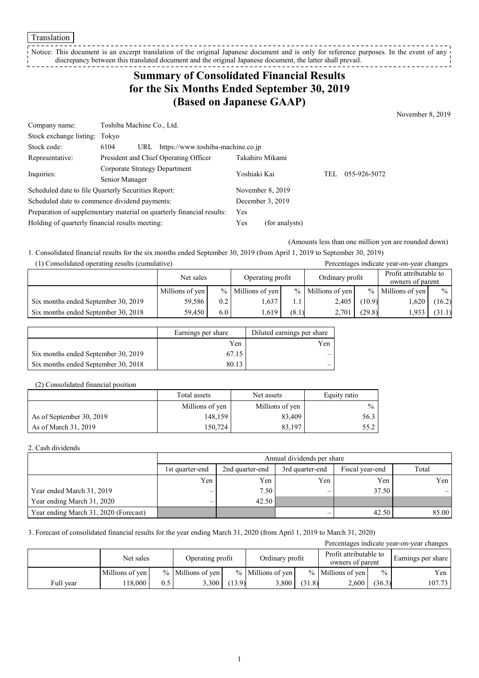Translation

Notice: This document is an excerpt translation of the original Japanese document and is only for reference purposes. In the event of any discrepancy between this translated document and the original Japanese document, the latter shall prevail.

# **Summary of Consolidated Financial Results for the Six Months Ended September 30, 2019 (Based on Japanese GAAP)**

November 8, 2019

| Company name:                                                         | Toshiba Machine Co., Ltd.                        |                  |                  |     |              |  |
|-----------------------------------------------------------------------|--------------------------------------------------|------------------|------------------|-----|--------------|--|
| Stock exchange listing: Tokyo                                         |                                                  |                  |                  |     |              |  |
| Stock code:                                                           | https://www.toshiba-machine.co.jp<br>6104<br>URL |                  |                  |     |              |  |
| Representative:                                                       | President and Chief Operating Officer            |                  | Takahiro Mikami  |     |              |  |
| Inquiries:                                                            | Corporate Strategy Department                    | Yoshiaki Kai     |                  | TEL | 055-926-5072 |  |
|                                                                       | Senior Manager                                   |                  |                  |     |              |  |
| Scheduled date to file Quarterly Securities Report:                   |                                                  | November 8, 2019 |                  |     |              |  |
| Scheduled date to commence dividend payments:                         |                                                  |                  | December 3, 2019 |     |              |  |
| Preparation of supplementary material on quarterly financial results: |                                                  | Yes              |                  |     |              |  |
| Holding of quarterly financial results meeting:                       |                                                  |                  | (for analysts)   |     |              |  |

(Amounts less than one million yen are rounded down)

1. Consolidated financial results for the six months ended September 30, 2019 (from April 1, 2019 to September 30, 2019)

| (1) Consolidated operating results (cumulative |  |  |
|------------------------------------------------|--|--|
|------------------------------------------------|--|--|

| (1) Consolidated operating results (cumulative) |                               |     |                     |       |                                            |               | Percentages indicate year-on-year changes |               |
|-------------------------------------------------|-------------------------------|-----|---------------------|-------|--------------------------------------------|---------------|-------------------------------------------|---------------|
|                                                 | Operating profit<br>Net sales |     | Ordinary profit     |       | Profit attributable to<br>owners of parent |               |                                           |               |
|                                                 | Millions of yen               |     | $%$ Millions of yen |       | $%$ Millions of yen                        | $\frac{0}{0}$ | Millions of yen                           | $\frac{0}{0}$ |
| Six months ended September 30, 2019             | 59,586                        | 0.2 | 1,637               | 1.1   | 2,405                                      | (10.9)        | 1,620                                     | (16.2)        |
| Six months ended September 30, 2018             | 59.450                        | 6.0 | . 619               | (8.1) | 2,701                                      | (29.8)        | 1,933                                     | (31.1)        |

|                                     | Earnings per share | Diluted earnings per share |
|-------------------------------------|--------------------|----------------------------|
|                                     | Yen                | Yen                        |
| Six months ended September 30, 2019 | 67.15              | -                          |
| Six months ended September 30, 2018 | 80.13              |                            |

#### (2) Consolidated financial position

|                          | Total assets    | Net assets      | Equity ratio  |
|--------------------------|-----------------|-----------------|---------------|
|                          | Millions of yen | Millions of yen | $\frac{0}{0}$ |
| As of September 30, 2019 | 148,159         | 83,409          | 56.3          |
| As of March 31, 2019     | 150,724         | 83.197          | 55.2          |

#### 2. Cash dividends

|                                       | Annual dividends per share |                 |                 |                 |       |  |  |
|---------------------------------------|----------------------------|-----------------|-----------------|-----------------|-------|--|--|
|                                       | 1st quarter-end            | 2nd quarter-end | 3rd quarter-end | Fiscal year-end | Total |  |  |
|                                       | Yen                        | Yen             | Yen             | Yen             | Yen I |  |  |
| Year ended March 31, 2019             | $\overline{\phantom{0}}$   | 7.50            | —               | 37.50           |       |  |  |
| Year ending March 31, 2020            | —                          | 42.50           |                 |                 |       |  |  |
| Year ending March 31, 2020 (Forecast) |                            |                 |                 | 42.50           | 85.00 |  |  |

3. Forecast of consolidated financial results for the year ending March 31, 2020 (from April 1, 2019 to March 31, 2020)

|           |                 |     |                     |        |                     |        |                                            |               | Percentages indicate year-on-year changes |
|-----------|-----------------|-----|---------------------|--------|---------------------|--------|--------------------------------------------|---------------|-------------------------------------------|
|           | Net sales       |     | Operating profit    |        | Ordinary profit     |        | Profit attributable to<br>owners of parent |               | Earnings per share                        |
|           | Millions of yen |     | $%$ Millions of yen |        | $%$ Millions of ven |        | $%$ Millions of yen                        | $\frac{0}{0}$ | Yen                                       |
| Full vear | 18.000          | 0.5 | 3,300               | (13.9) | 3,800               | (31.8) | 2,600                                      | (36.3)        | 107.73                                    |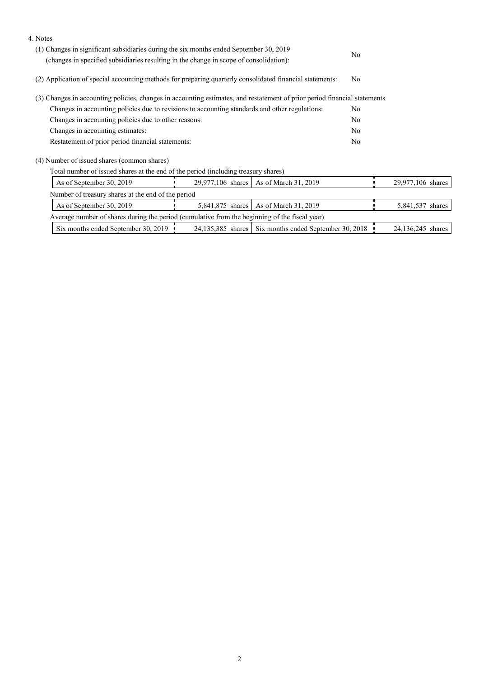| 4. Notes                                                                                                                  |                  |                                                         |                |                   |
|---------------------------------------------------------------------------------------------------------------------------|------------------|---------------------------------------------------------|----------------|-------------------|
| (1) Changes in significant subsidiaries during the six months ended September 30, 2019                                    |                  |                                                         |                |                   |
| (changes in specified subsidiaries resulting in the change in scope of consolidation):                                    |                  |                                                         | N <sub>o</sub> |                   |
| (2) Application of special accounting methods for preparing quarterly consolidated financial statements:                  |                  |                                                         | No.            |                   |
| (3) Changes in accounting policies, changes in accounting estimates, and restatement of prior period financial statements |                  |                                                         |                |                   |
| Changes in accounting policies due to revisions to accounting standards and other regulations:                            |                  |                                                         |                |                   |
| Changes in accounting policies due to other reasons:                                                                      |                  |                                                         | No             |                   |
| Changes in accounting estimates:                                                                                          |                  |                                                         | No             |                   |
| Restatement of prior period financial statements:                                                                         |                  |                                                         | No             |                   |
| (4) Number of issued shares (common shares)                                                                               |                  |                                                         |                |                   |
| Total number of issued shares at the end of the period (including treasury shares)                                        |                  |                                                         |                |                   |
| As of September 30, 2019<br>29,977,106 shares   As of March 31, 2019                                                      |                  |                                                         |                | 29,977,106 shares |
| Number of treasury shares at the end of the period                                                                        |                  |                                                         |                |                   |
| As of September 30, 2019                                                                                                  | 5,841,875 shares | As of March 31, 2019                                    |                | 5,841,537 shares  |
| Average number of shares during the period (cumulative from the beginning of the fiscal year)                             |                  |                                                         |                |                   |
| Six months ended September 30, 2019                                                                                       |                  | 24,135,385 shares   Six months ended September 30, 2018 |                | 24,136,245 shares |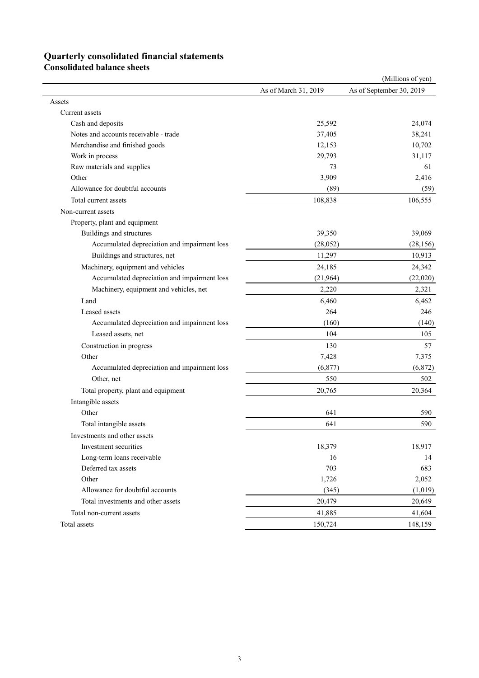## **Quarterly consolidated financial statements**

**Consolidated balance sheets** 

|                                              |                      | (Millions of yen)        |
|----------------------------------------------|----------------------|--------------------------|
|                                              | As of March 31, 2019 | As of September 30, 2019 |
| Assets                                       |                      |                          |
| Current assets                               |                      |                          |
| Cash and deposits                            | 25,592               | 24,074                   |
| Notes and accounts receivable - trade        | 37,405               | 38,241                   |
| Merchandise and finished goods               | 12,153               | 10,702                   |
| Work in process                              | 29,793               | 31,117                   |
| Raw materials and supplies                   | 73                   | 61                       |
| Other                                        | 3,909                | 2,416                    |
| Allowance for doubtful accounts              | (89)                 | (59)                     |
| Total current assets                         | 108,838              | 106,555                  |
| Non-current assets                           |                      |                          |
| Property, plant and equipment                |                      |                          |
| Buildings and structures                     | 39,350               | 39,069                   |
| Accumulated depreciation and impairment loss | (28,052)             | (28, 156)                |
| Buildings and structures, net                | 11,297               | 10,913                   |
| Machinery, equipment and vehicles            | 24,185               | 24,342                   |
| Accumulated depreciation and impairment loss | (21,964)             | (22,020)                 |
| Machinery, equipment and vehicles, net       | 2,220                | 2,321                    |
| Land                                         | 6,460                | 6,462                    |
| Leased assets                                | 264                  | 246                      |
| Accumulated depreciation and impairment loss | (160)                | (140)                    |
| Leased assets, net                           | 104                  | 105                      |
| Construction in progress                     | 130                  | 57                       |
| Other                                        | 7,428                | 7,375                    |
| Accumulated depreciation and impairment loss | (6,877)              | (6,872)                  |
| Other, net                                   | 550                  | 502                      |
| Total property, plant and equipment          | 20,765               | 20,364                   |
| Intangible assets                            |                      |                          |
| Other                                        | 641                  | 590                      |
| Total intangible assets                      | 641                  | 590                      |
| Investments and other assets                 |                      |                          |
| Investment securities                        | 18,379               | 18,917                   |
| Long-term loans receivable                   | 16                   | 14                       |
| Deferred tax assets                          | 703                  | 683                      |
| Other                                        | 1,726                | 2,052                    |
| Allowance for doubtful accounts              | (345)                | (1,019)                  |
| Total investments and other assets           | 20,479               | 20,649                   |
| Total non-current assets                     |                      | 41,604                   |
|                                              | 41,885               |                          |
| Total assets                                 | 150,724              | 148,159                  |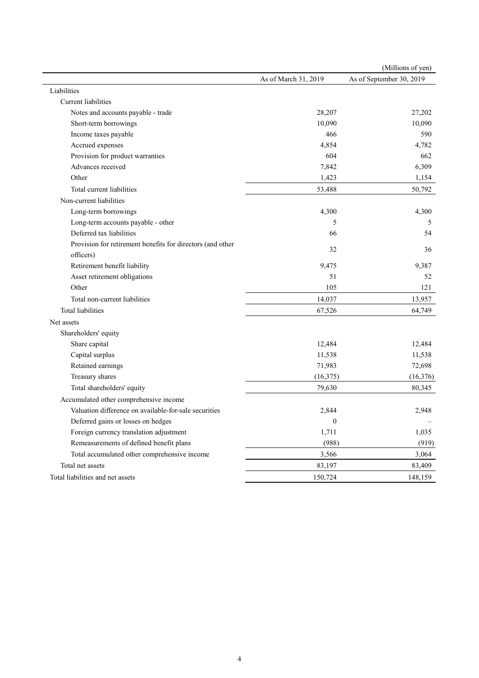|                                                            |                      | (Millions of yen)        |
|------------------------------------------------------------|----------------------|--------------------------|
|                                                            | As of March 31, 2019 | As of September 30, 2019 |
| Liabilities                                                |                      |                          |
| Current liabilities                                        |                      |                          |
| Notes and accounts payable - trade                         | 28,207               | 27,202                   |
| Short-term borrowings                                      | 10,090               | 10,090                   |
| Income taxes payable                                       | 466                  | 590                      |
| Accrued expenses                                           | 4,854                | 4,782                    |
| Provision for product warranties                           | 604                  | 662                      |
| Advances received                                          | 7,842                | 6,309                    |
| Other                                                      | 1,423                | 1,154                    |
| Total current liabilities                                  | 53,488               | 50,792                   |
| Non-current liabilities                                    |                      |                          |
| Long-term borrowings                                       | 4,300                | 4,300                    |
| Long-term accounts payable - other                         | 5                    | 5                        |
| Deferred tax liabilities                                   | 66                   | 54                       |
| Provision for retirement benefits for directors (and other |                      |                          |
| officers)                                                  | 32                   | 36                       |
| Retirement benefit liability                               | 9,475                | 9,387                    |
| Asset retirement obligations                               | 51                   | 52                       |
| Other                                                      | 105                  | 121                      |
| Total non-current liabilities                              | 14,037               | 13,957                   |
| <b>Total liabilities</b>                                   | 67,526               | 64,749                   |
| Net assets                                                 |                      |                          |
| Shareholders' equity                                       |                      |                          |
| Share capital                                              | 12,484               | 12,484                   |
| Capital surplus                                            | 11,538               | 11,538                   |
| Retained earnings                                          | 71,983               | 72,698                   |
| Treasury shares                                            | (16, 375)            | (16, 376)                |
| Total shareholders' equity                                 | 79,630               | 80,345                   |
| Accumulated other comprehensive income                     |                      |                          |
| Valuation difference on available-for-sale securities      | 2,844                | 2,948                    |
| Deferred gains or losses on hedges                         | $\boldsymbol{0}$     |                          |
| Foreign currency translation adjustment                    | 1,711                | 1,035                    |
| Remeasurements of defined benefit plans                    | (988)                | (919)                    |
| Total accumulated other comprehensive income               | 3,566                | 3,064                    |
| Total net assets                                           | 83,197               | 83,409                   |
| Total liabilities and net assets                           | 150,724              | 148,159                  |
|                                                            |                      |                          |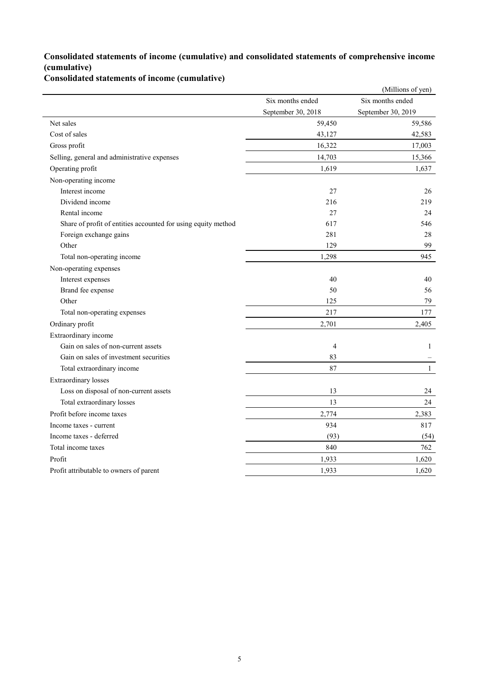### **Consolidated statements of income (cumulative) and consolidated statements of comprehensive income (cumulative)**

**Consolidated statements of income (cumulative)**

|                                                               |                    | (Millions of yen)  |
|---------------------------------------------------------------|--------------------|--------------------|
|                                                               | Six months ended   | Six months ended   |
|                                                               | September 30, 2018 | September 30, 2019 |
| Net sales                                                     | 59,450             | 59,586             |
| Cost of sales                                                 | 43,127             | 42,583             |
| Gross profit                                                  | 16,322             | 17,003             |
| Selling, general and administrative expenses                  | 14,703             | 15,366             |
| Operating profit                                              | 1,619              | 1,637              |
| Non-operating income                                          |                    |                    |
| Interest income                                               | 27                 | 26                 |
| Dividend income                                               | 216                | 219                |
| Rental income                                                 | 27                 | 24                 |
| Share of profit of entities accounted for using equity method | 617                | 546                |
| Foreign exchange gains                                        | 281                | 28                 |
| Other                                                         | 129                | 99                 |
| Total non-operating income                                    | 1,298              | 945                |
| Non-operating expenses                                        |                    |                    |
| Interest expenses                                             | 40                 | 40                 |
| Brand fee expense                                             | 50                 | 56                 |
| Other                                                         | 125                | 79                 |
| Total non-operating expenses                                  | 217                | 177                |
| Ordinary profit                                               | 2,701              | 2,405              |
| Extraordinary income                                          |                    |                    |
| Gain on sales of non-current assets                           | $\overline{4}$     | $\mathbf{1}$       |
| Gain on sales of investment securities                        | 83                 |                    |
| Total extraordinary income                                    | 87                 | $\mathbf{1}$       |
| <b>Extraordinary losses</b>                                   |                    |                    |
| Loss on disposal of non-current assets                        | 13                 | 24                 |
| Total extraordinary losses                                    | 13                 | 24                 |
| Profit before income taxes                                    | 2,774              | 2,383              |
| Income taxes - current                                        | 934                | 817                |
| Income taxes - deferred                                       | (93)               | (54)               |
| Total income taxes                                            | 840                | 762                |
| Profit                                                        | 1,933              | 1,620              |
| Profit attributable to owners of parent                       | 1,933              | 1,620              |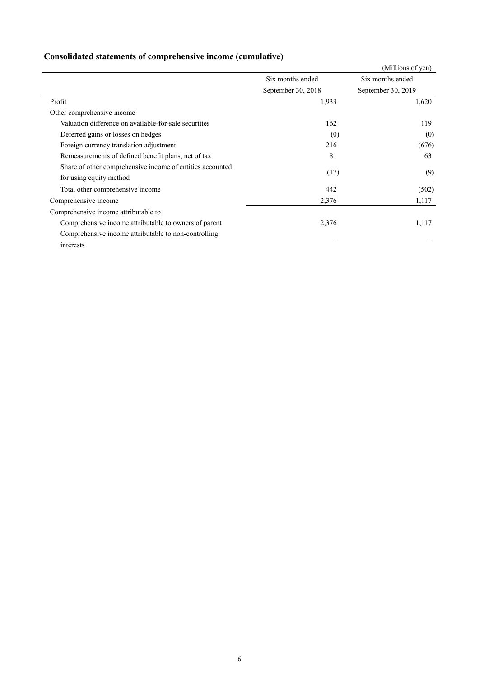|                                                           |                    | (Millions of yen)  |
|-----------------------------------------------------------|--------------------|--------------------|
|                                                           | Six months ended   | Six months ended   |
|                                                           | September 30, 2018 | September 30, 2019 |
| Profit                                                    | 1,933              | 1,620              |
| Other comprehensive income                                |                    |                    |
| Valuation difference on available-for-sale securities     | 162                | 119                |
| Deferred gains or losses on hedges                        | (0)                | (0)                |
| Foreign currency translation adjustment                   | 216                | (676)              |
| Remeasurements of defined benefit plans, net of tax       | 81                 | 63                 |
| Share of other comprehensive income of entities accounted | (17)               | (9)                |
| for using equity method                                   |                    |                    |
| Total other comprehensive income                          | 442                | (502)              |
| Comprehensive income                                      | 2,376              | 1,117              |
| Comprehensive income attributable to                      |                    |                    |
| Comprehensive income attributable to owners of parent     | 2,376              | 1,117              |
| Comprehensive income attributable to non-controlling      |                    |                    |
| interests                                                 |                    |                    |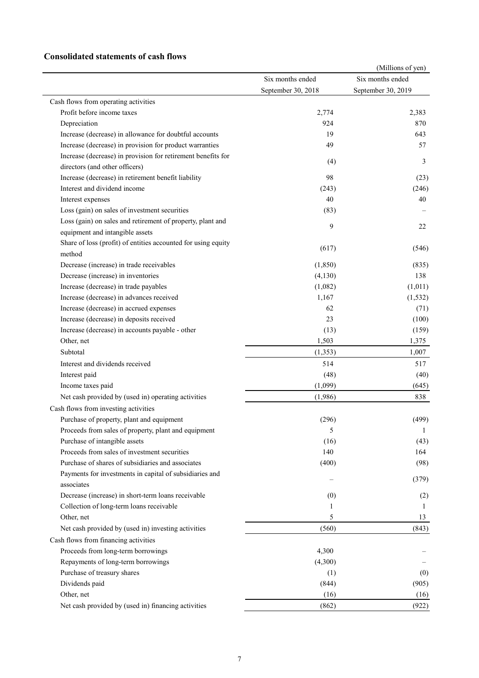### **Consolidated statements of cash flows**

|                                                               |                                        | (Millions of yen)                      |
|---------------------------------------------------------------|----------------------------------------|----------------------------------------|
|                                                               | Six months ended<br>September 30, 2018 | Six months ended<br>September 30, 2019 |
|                                                               |                                        |                                        |
| Cash flows from operating activities                          |                                        |                                        |
| Profit before income taxes                                    | 2,774                                  | 2,383                                  |
| Depreciation                                                  | 924                                    | 870                                    |
| Increase (decrease) in allowance for doubtful accounts        | 19                                     | 643                                    |
| Increase (decrease) in provision for product warranties       | 49                                     | 57                                     |
| Increase (decrease) in provision for retirement benefits for  |                                        |                                        |
| directors (and other officers)                                | (4)                                    | 3                                      |
| Increase (decrease) in retirement benefit liability           | 98                                     | (23)                                   |
| Interest and dividend income                                  | (243)                                  | (246)                                  |
| Interest expenses                                             | 40                                     | 40                                     |
| Loss (gain) on sales of investment securities                 | (83)                                   |                                        |
| Loss (gain) on sales and retirement of property, plant and    |                                        |                                        |
| equipment and intangible assets                               | 9                                      | 22                                     |
| Share of loss (profit) of entities accounted for using equity |                                        |                                        |
| method                                                        | (617)                                  | (546)                                  |
| Decrease (increase) in trade receivables                      | (1, 850)                               | (835)                                  |
| Decrease (increase) in inventories                            | (4,130)                                | 138                                    |
| Increase (decrease) in trade payables                         | (1,082)                                | (1,011)                                |
| Increase (decrease) in advances received                      | 1,167                                  | (1, 532)                               |
| Increase (decrease) in accrued expenses                       | 62                                     | (71)                                   |
| Increase (decrease) in deposits received                      | 23                                     | (100)                                  |
| Increase (decrease) in accounts payable - other               | (13)                                   | (159)                                  |
| Other, net                                                    | 1,503                                  | 1,375                                  |
| Subtotal                                                      | (1,353)                                | 1,007                                  |
| Interest and dividends received                               | 514                                    | 517                                    |
| Interest paid                                                 | (48)                                   | (40)                                   |
| Income taxes paid                                             | (1,099)                                | (645)                                  |
|                                                               |                                        | 838                                    |
| Net cash provided by (used in) operating activities           | (1,986)                                |                                        |
| Cash flows from investing activities                          |                                        |                                        |
| Purchase of property, plant and equipment                     | (296)                                  | (499)                                  |
| Proceeds from sales of property, plant and equipment          | 5                                      | 1                                      |
| Purchase of intangible assets                                 | (16)                                   | (43)                                   |
| Proceeds from sales of investment securities                  | 140                                    | 164                                    |
| Purchase of shares of subsidiaries and associates             | (400)                                  | (98)                                   |
| Payments for investments in capital of subsidiaries and       |                                        | (379)                                  |
| associates                                                    |                                        |                                        |
| Decrease (increase) in short-term loans receivable            | (0)                                    | (2)                                    |
| Collection of long-term loans receivable                      | 1                                      | 1                                      |
| Other, net                                                    | 5                                      | 13                                     |
| Net cash provided by (used in) investing activities           | (560)                                  | (843)                                  |
| Cash flows from financing activities                          |                                        |                                        |
| Proceeds from long-term borrowings                            | 4,300                                  |                                        |
| Repayments of long-term borrowings                            | (4,300)                                |                                        |
| Purchase of treasury shares                                   | (1)                                    | (0)                                    |
| Dividends paid                                                | (844)                                  | (905)                                  |
| Other, net                                                    | (16)                                   | (16)                                   |
| Net cash provided by (used in) financing activities           | (862)                                  | (922)                                  |